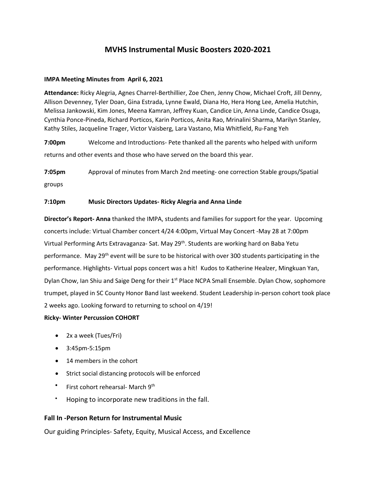# **MVHS Instrumental Music Boosters 2020-2021**

## **IMPA Meeting Minutes from April 6, 2021**

**Attendance:** Ricky Alegria, Agnes Charrel-Berthillier, Zoe Chen, Jenny Chow, Michael Croft, Jill Denny, Allison Devenney, Tyler Doan, Gina Estrada, Lynne Ewald, Diana Ho, Hera Hong Lee, Amelia Hutchin, Melissa Jankowski, Kim Jones, Meena Kamran, Jeffrey Kuan, Candice Lin, Anna Linde, Candice Osuga, Cynthia Ponce-Pineda, Richard Porticos, Karin Porticos, Anita Rao, Mrinalini Sharma, Marilyn Stanley, Kathy Stiles, Jacqueline Trager, Victor Vaisberg, Lara Vastano, Mia Whitfield, Ru-Fang Yeh

**7:00pm** Welcome and Introductions- Pete thanked all the parents who helped with uniform returns and other events and those who have served on the board this year.

**7:05pm** Approval of minutes from March 2nd meeting- one correction Stable groups/Spatial groups

## **7:10pm Music Directors Updates- Ricky Alegria and Anna Linde**

**Director's Report- Anna** thanked the IMPA, students and families for support for the year. Upcoming concerts include: Virtual Chamber concert 4/24 4:00pm, Virtual May Concert -May 28 at 7:00pm Virtual Performing Arts Extravaganza- Sat. May 29th. Students are working hard on Baba Yetu performance. May 29<sup>th</sup> event will be sure to be historical with over 300 students participating in the performance. Highlights- Virtual pops concert was a hit! Kudos to Katherine Healzer, Mingkuan Yan, Dylan Chow, Ian Shiu and Saige Deng for their 1<sup>st</sup> Place NCPA Small Ensemble. Dylan Chow, sophomore trumpet, played in SC County Honor Band last weekend. Student Leadership in-person cohort took place 2 weeks ago. Looking forward to returning to school on 4/19!

#### **Ricky- Winter Percussion COHORT**

- 2x a week (Tues/Fri)
- 3:45pm-5:15pm
- 14 members in the cohort
- Strict social distancing protocols will be enforced
- First cohort rehearsal- March 9th
- Hoping to incorporate new traditions in the fall.

## **Fall In -Person Return for Instrumental Music**

Our guiding Principles- Safety, Equity, Musical Access, and Excellence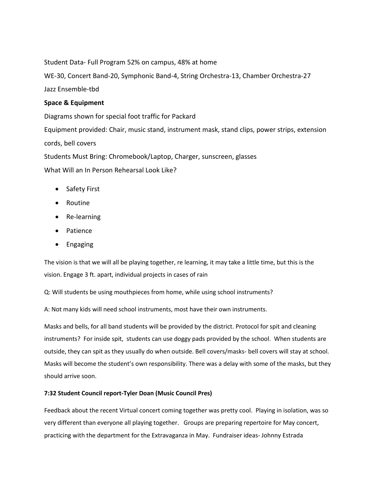Student Data- Full Program 52% on campus, 48% at home

WE-30, Concert Band-20, Symphonic Band-4, String Orchestra-13, Chamber Orchestra-27

Jazz Ensemble-tbd

## **Space & Equipment**

Diagrams shown for special foot traffic for Packard Equipment provided: Chair, music stand, instrument mask, stand clips, power strips, extension cords, bell covers Students Must Bring: Chromebook/Laptop, Charger, sunscreen, glasses What Will an In Person Rehearsal Look Like?

- Safety First
- Routine
- Re-learning
- Patience
- Engaging

The vision is that we will all be playing together, re learning, it may take a little time, but this is the vision. Engage 3 ft. apart, individual projects in cases of rain

Q: Will students be using mouthpieces from home, while using school instruments?

A: Not many kids will need school instruments, most have their own instruments.

Masks and bells, for all band students will be provided by the district. Protocol for spit and cleaning instruments? For inside spit, students can use doggy pads provided by the school. When students are outside, they can spit as they usually do when outside. Bell covers/masks- bell covers will stay at school. Masks will become the student's own responsibility. There was a delay with some of the masks, but they should arrive soon.

## **7:32 Student Council report-Tyler Doan (Music Council Pres)**

Feedback about the recent Virtual concert coming together was pretty cool. Playing in isolation, was so very different than everyone all playing together. Groups are preparing repertoire for May concert, practicing with the department for the Extravaganza in May. Fundraiser ideas- Johnny Estrada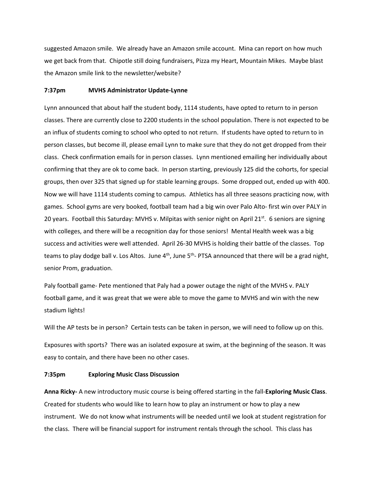suggested Amazon smile. We already have an Amazon smile account. Mina can report on how much we get back from that. Chipotle still doing fundraisers, Pizza my Heart, Mountain Mikes. Maybe blast the Amazon smile link to the newsletter/website?

#### **7:37pm MVHS Administrator Update-Lynne**

Lynn announced that about half the student body, 1114 students, have opted to return to in person classes. There are currently close to 2200 students in the school population. There is not expected to be an influx of students coming to school who opted to not return. If students have opted to return to in person classes, but become ill, please email Lynn to make sure that they do not get dropped from their class. Check confirmation emails for in person classes. Lynn mentioned emailing her individually about confirming that they are ok to come back. In person starting, previously 125 did the cohorts, for special groups, then over 325 that signed up for stable learning groups. Some dropped out, ended up with 400. Now we will have 1114 students coming to campus. Athletics has all three seasons practicing now, with games. School gyms are very booked, football team had a big win over Palo Alto- first win over PALY in 20 years. Football this Saturday: MVHS v. Milpitas with senior night on April 21<sup>st</sup>. 6 seniors are signing with colleges, and there will be a recognition day for those seniors! Mental Health week was a big success and activities were well attended. April 26-30 MVHS is holding their battle of the classes. Top teams to play dodge ball v. Los Altos. June  $4<sup>th</sup>$ , June  $5<sup>th</sup>$ - PTSA announced that there will be a grad night, senior Prom, graduation.

Paly football game- Pete mentioned that Paly had a power outage the night of the MVHS v. PALY football game, and it was great that we were able to move the game to MVHS and win with the new stadium lights!

Will the AP tests be in person? Certain tests can be taken in person, we will need to follow up on this.

Exposures with sports? There was an isolated exposure at swim, at the beginning of the season. It was easy to contain, and there have been no other cases.

#### **7:35pm Exploring Music Class Discussion**

**Anna Ricky-** A new introductory music course is being offered starting in the fall-**Exploring Music Class**. Created for students who would like to learn how to play an instrument or how to play a new instrument. We do not know what instruments will be needed until we look at student registration for the class. There will be financial support for instrument rentals through the school. This class has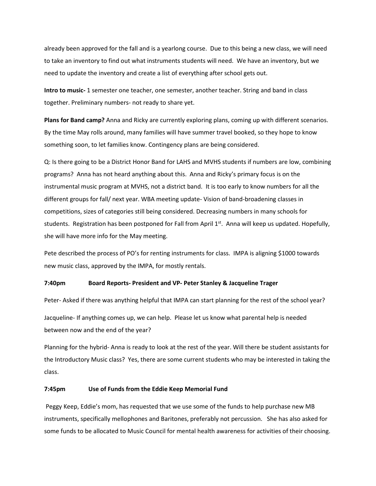already been approved for the fall and is a yearlong course. Due to this being a new class, we will need to take an inventory to find out what instruments students will need. We have an inventory, but we need to update the inventory and create a list of everything after school gets out.

**Intro to music-** 1 semester one teacher, one semester, another teacher. String and band in class together. Preliminary numbers- not ready to share yet.

**Plans for Band camp?** Anna and Ricky are currently exploring plans, coming up with different scenarios. By the time May rolls around, many families will have summer travel booked, so they hope to know something soon, to let families know. Contingency plans are being considered.

Q: Is there going to be a District Honor Band for LAHS and MVHS students if numbers are low, combining programs? Anna has not heard anything about this. Anna and Ricky's primary focus is on the instrumental music program at MVHS, not a district band. It is too early to know numbers for all the different groups for fall/ next year. WBA meeting update- Vision of band-broadening classes in competitions, sizes of categories still being considered. Decreasing numbers in many schools for students. Registration has been postponed for Fall from April  $1<sup>st</sup>$ . Anna will keep us updated. Hopefully, she will have more info for the May meeting.

Pete described the process of PO's for renting instruments for class. IMPA is aligning \$1000 towards new music class, approved by the IMPA, for mostly rentals.

#### **7:40pm Board Reports- President and VP- Peter Stanley & Jacqueline Trager**

Peter- Asked if there was anything helpful that IMPA can start planning for the rest of the school year? Jacqueline- If anything comes up, we can help. Please let us know what parental help is needed between now and the end of the year?

Planning for the hybrid- Anna is ready to look at the rest of the year. Will there be student assistants for the Introductory Music class? Yes, there are some current students who may be interested in taking the class.

#### **7:45pm Use of Funds from the Eddie Keep Memorial Fund**

Peggy Keep, Eddie's mom, has requested that we use some of the funds to help purchase new MB instruments, specifically mellophones and Baritones, preferably not percussion. She has also asked for some funds to be allocated to Music Council for mental health awareness for activities of their choosing.